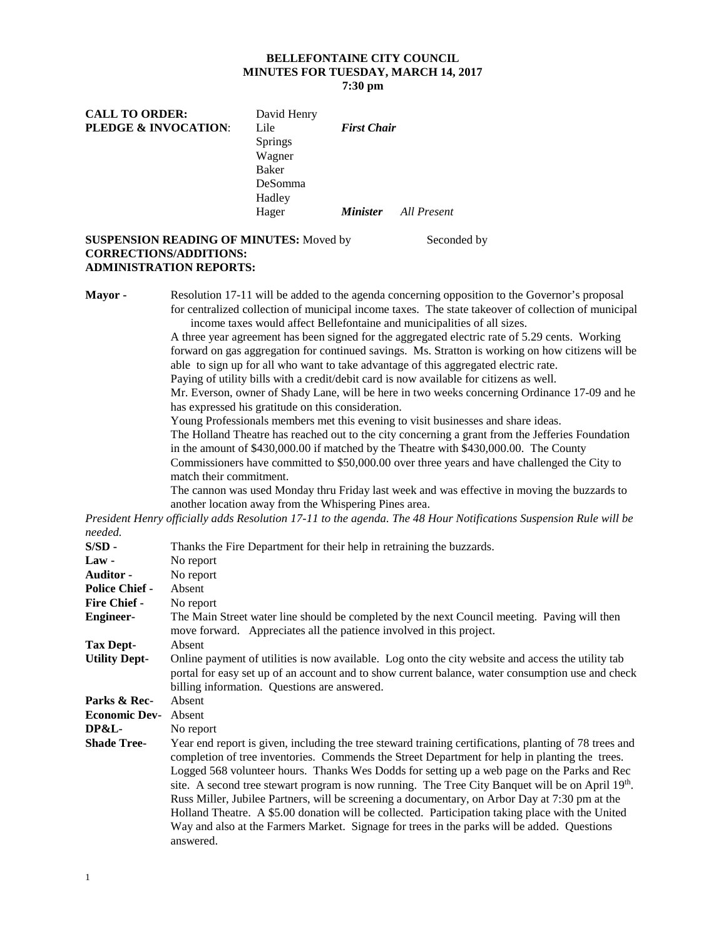### **BELLEFONTAINE CITY COUNCIL MINUTES FOR TUESDAY, MARCH 14, 2017 7:30 pm**

| <b>CALL TO ORDER:</b>           | David Henry    |                    |             |
|---------------------------------|----------------|--------------------|-------------|
| <b>PLEDGE &amp; INVOCATION:</b> | Lile           | <b>First Chair</b> |             |
|                                 | <b>Springs</b> |                    |             |
|                                 | Wagner         |                    |             |
|                                 | Baker          |                    |             |
|                                 | DeSomma        |                    |             |
|                                 | Hadley         |                    |             |
|                                 | Hager          | <i>Minister</i>    | All Present |
|                                 |                |                    |             |

### **SUSPENSION READING OF MINUTES:** Moved by Seconded by **CORRECTIONS/ADDITIONS: ADMINISTRATION REPORTS:**

**Mayor -** Resolution 17-11 will be added to the agenda concerning opposition to the Governor's proposal for centralized collection of municipal income taxes. The state takeover of collection of municipal income taxes would affect Bellefontaine and municipalities of all sizes.

> A three year agreement has been signed for the aggregated electric rate of 5.29 cents. Working forward on gas aggregation for continued savings. Ms. Stratton is working on how citizens will be able to sign up for all who want to take advantage of this aggregated electric rate.

Paying of utility bills with a credit/debit card is now available for citizens as well.

Mr. Everson, owner of Shady Lane, will be here in two weeks concerning Ordinance 17-09 and he has expressed his gratitude on this consideration.

Young Professionals members met this evening to visit businesses and share ideas.

The Holland Theatre has reached out to the city concerning a grant from the Jefferies Foundation in the amount of \$430,000.00 if matched by the Theatre with \$430,000.00. The County

Commissioners have committed to \$50,000.00 over three years and have challenged the City to match their commitment.

The cannon was used Monday thru Friday last week and was effective in moving the buzzards to another location away from the Whispering Pines area.

*President Henry officially adds Resolution 17-11 to the agenda. The 48 Hour Notifications Suspension Rule will be needed.*

| $S/SD -$              | Thanks the Fire Department for their help in retraining the buzzards.                                                                                                                                                                                                                                                                                                                                                                                                                                                                                                                                                                                                                                                         |  |  |  |  |
|-----------------------|-------------------------------------------------------------------------------------------------------------------------------------------------------------------------------------------------------------------------------------------------------------------------------------------------------------------------------------------------------------------------------------------------------------------------------------------------------------------------------------------------------------------------------------------------------------------------------------------------------------------------------------------------------------------------------------------------------------------------------|--|--|--|--|
| $Law -$               | No report                                                                                                                                                                                                                                                                                                                                                                                                                                                                                                                                                                                                                                                                                                                     |  |  |  |  |
| <b>Auditor -</b>      | No report                                                                                                                                                                                                                                                                                                                                                                                                                                                                                                                                                                                                                                                                                                                     |  |  |  |  |
| <b>Police Chief -</b> | Absent                                                                                                                                                                                                                                                                                                                                                                                                                                                                                                                                                                                                                                                                                                                        |  |  |  |  |
| <b>Fire Chief -</b>   | No report                                                                                                                                                                                                                                                                                                                                                                                                                                                                                                                                                                                                                                                                                                                     |  |  |  |  |
| <b>Engineer-</b>      | The Main Street water line should be completed by the next Council meeting. Paving will then<br>move forward. Appreciates all the patience involved in this project.                                                                                                                                                                                                                                                                                                                                                                                                                                                                                                                                                          |  |  |  |  |
| Tax Dept-             | Absent                                                                                                                                                                                                                                                                                                                                                                                                                                                                                                                                                                                                                                                                                                                        |  |  |  |  |
| <b>Utility Dept-</b>  | Online payment of utilities is now available. Log onto the city website and access the utility tab<br>portal for easy set up of an account and to show current balance, water consumption use and check                                                                                                                                                                                                                                                                                                                                                                                                                                                                                                                       |  |  |  |  |
|                       | billing information. Questions are answered.                                                                                                                                                                                                                                                                                                                                                                                                                                                                                                                                                                                                                                                                                  |  |  |  |  |
| Parks & Rec-          | Absent                                                                                                                                                                                                                                                                                                                                                                                                                                                                                                                                                                                                                                                                                                                        |  |  |  |  |
| <b>Economic Dev-</b>  | Absent                                                                                                                                                                                                                                                                                                                                                                                                                                                                                                                                                                                                                                                                                                                        |  |  |  |  |
| <b>DP&amp;L-</b>      | No report                                                                                                                                                                                                                                                                                                                                                                                                                                                                                                                                                                                                                                                                                                                     |  |  |  |  |
| <b>Shade Tree-</b>    | Year end report is given, including the tree steward training certifications, planting of 78 trees and<br>completion of tree inventories. Commends the Street Department for help in planting the trees.<br>Logged 568 volunteer hours. Thanks Wes Dodds for setting up a web page on the Parks and Rec<br>site. A second tree stewart program is now running. The Tree City Banquet will be on April 19th.<br>Russ Miller, Jubilee Partners, will be screening a documentary, on Arbor Day at 7:30 pm at the<br>Holland Theatre. A \$5.00 donation will be collected. Participation taking place with the United<br>Way and also at the Farmers Market. Signage for trees in the parks will be added. Questions<br>answered. |  |  |  |  |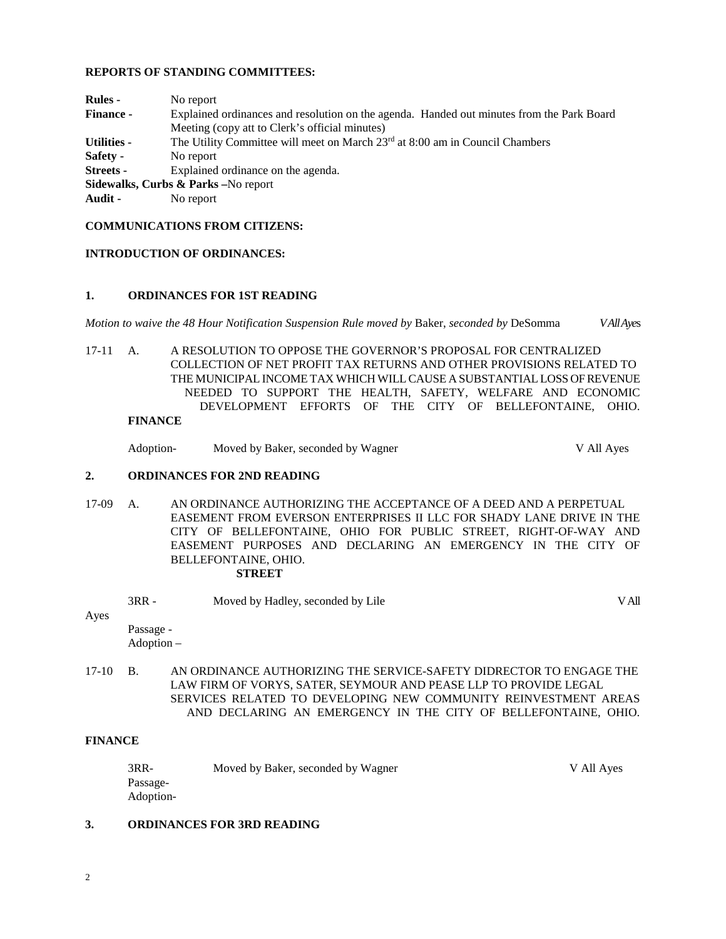### **REPORTS OF STANDING COMMITTEES:**

| <b>Rules</b> -                      | No report                                                                                 |  |  |  |
|-------------------------------------|-------------------------------------------------------------------------------------------|--|--|--|
| <b>Finance -</b>                    | Explained ordinances and resolution on the agenda. Handed out minutes from the Park Board |  |  |  |
|                                     | Meeting (copy att to Clerk's official minutes)                                            |  |  |  |
| <b>Utilities -</b>                  | The Utility Committee will meet on March 23 <sup>rd</sup> at 8:00 am in Council Chambers  |  |  |  |
| Safety -                            | No report                                                                                 |  |  |  |
| Streets -                           | Explained ordinance on the agenda.                                                        |  |  |  |
| Sidewalks, Curbs & Parks -No report |                                                                                           |  |  |  |
| Audit -                             | No report                                                                                 |  |  |  |
|                                     |                                                                                           |  |  |  |

### **COMMUNICATIONS FROM CITIZENS:**

### **INTRODUCTION OF ORDINANCES:**

### **1. ORDINANCES FOR 1ST READING**

*Motion to waive the 48 Hour Notification Suspension Rule moved by* Baker, *seconded by* DeSomma *V All Aye*s

17-11 A. A RESOLUTION TO OPPOSE THE GOVERNOR'S PROPOSAL FOR CENTRALIZED COLLECTION OF NET PROFIT TAX RETURNS AND OTHER PROVISIONS RELATED TO THE MUNICIPAL INCOME TAX WHICH WILL CAUSE A SUBSTANTIAL LOSS OF REVENUE NEEDED TO SUPPORT THE HEALTH, SAFETY, WELFARE AND ECONOMIC DEVELOPMENT EFFORTS OF THE CITY OF BELLEFONTAINE, OHIO.

## **FINANCE**

Adoption- Moved by Baker, seconded by Wagner V All Ayes

## **2. ORDINANCES FOR 2ND READING**

- 17-09 A. AN ORDINANCE AUTHORIZING THE ACCEPTANCE OF A DEED AND A PERPETUAL EASEMENT FROM EVERSON ENTERPRISES II LLC FOR SHADY LANE DRIVE IN THE CITY OF BELLEFONTAINE, OHIO FOR PUBLIC STREET, RIGHT-OF-WAY AND EASEMENT PURPOSES AND DECLARING AN EMERGENCY IN THE CITY OF BELLEFONTAINE, OHIO. **STREET**
	- 3RR Moved by Hadley, seconded by Lile V All

# Ayes

Passage - Adoption –

17-10 B. AN ORDINANCE AUTHORIZING THE SERVICE-SAFETY DIDRECTOR TO ENGAGE THE LAW FIRM OF VORYS, SATER, SEYMOUR AND PEASE LLP TO PROVIDE LEGAL SERVICES RELATED TO DEVELOPING NEW COMMUNITY REINVESTMENT AREAS AND DECLARING AN EMERGENCY IN THE CITY OF BELLEFONTAINE, OHIO.

### **FINANCE**

| 3RR-      | Moved by Baker, seconded by Wagner | V All Aves |
|-----------|------------------------------------|------------|
| Passage-  |                                    |            |
| Adoption- |                                    |            |

## **3. ORDINANCES FOR 3RD READING**